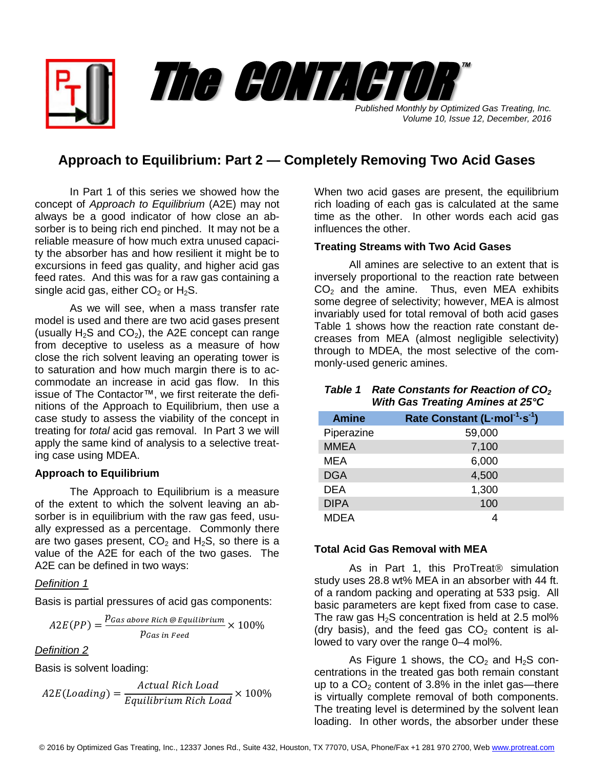*Published Monthly by Optimized Gas Treating, Inc. Volume 10, Issue 12, December, 2016* The CONTACTOR

™

# **Approach to Equilibrium: Part 2 — Completely Removing Two Acid Gases**

In Part 1 of this series we showed how the concept of *Approach to Equilibrium* (A2E) may not always be a good indicator of how close an absorber is to being rich end pinched. It may not be a reliable measure of how much extra unused capacity the absorber has and how resilient it might be to excursions in feed gas quality, and higher acid gas feed rates. And this was for a raw gas containing a single acid gas, either  $CO<sub>2</sub>$  or H<sub>2</sub>S.

As we will see, when a mass transfer rate model is used and there are two acid gases present (usually  $H_2S$  and  $CO<sub>2</sub>$ ), the A2E concept can range from deceptive to useless as a measure of how close the rich solvent leaving an operating tower is to saturation and how much margin there is to accommodate an increase in acid gas flow. In this issue of The Contactor™, we first reiterate the definitions of the Approach to Equilibrium, then use a case study to assess the viability of the concept in treating for *total* acid gas removal. In Part 3 we will apply the same kind of analysis to a selective treating case using MDEA.

# **Approach to Equilibrium**

The Approach to Equilibrium is a measure of the extent to which the solvent leaving an absorber is in equilibrium with the raw gas feed, usually expressed as a percentage. Commonly there are two gases present,  $CO<sub>2</sub>$  and H<sub>2</sub>S, so there is a value of the A2E for each of the two gases. The A2E can be defined in two ways:

# *Definition 1*

Basis is partial pressures of acid gas components:

$$
A2E(PP) = \frac{p_{Gas\ above\ Rich\ @\ Equilibrium}}{p_{Gas\ in\ Feed}} \times 100\%
$$

*Definition 2*

Basis is solvent loading:

$$
A2E (Loading) = \frac{Actual \, Rich \, Load}{Equilibrium \, Rich \, Load} \times 100\%
$$

When two acid gases are present, the equilibrium rich loading of each gas is calculated at the same time as the other. In other words each acid gas influences the other.

#### **Treating Streams with Two Acid Gases**

All amines are selective to an extent that is inversely proportional to the reaction rate between  $CO<sub>2</sub>$  and the amine. Thus, even MEA exhibits some degree of selectivity; however, MEA is almost invariably used for total removal of both acid gases Table 1 shows how the reaction rate constant decreases from MEA (almost negligible selectivity) through to MDEA, the most selective of the commonly-used generic amines.

# *Table 1 Rate Constants for Reaction of CO<sup>2</sup> With Gas Treating Amines at 25°C*

| <b>Amine</b> | Rate Constant (L-mol <sup>-1</sup> -s <sup>-1</sup> ) |
|--------------|-------------------------------------------------------|
| Piperazine   | 59,000                                                |
| <b>MMEA</b>  | 7,100                                                 |
| MEA          | 6,000                                                 |
| <b>DGA</b>   | 4,500                                                 |
| <b>DEA</b>   | 1,300                                                 |
| <b>DIPA</b>  | 100                                                   |
| MDEA         |                                                       |

# **Total Acid Gas Removal with MEA**

As in Part 1, this ProTreat<sup>®</sup> simulation study uses 28.8 wt% MEA in an absorber with 44 ft. of a random packing and operating at 533 psig. All basic parameters are kept fixed from case to case. The raw gas  $H_2S$  concentration is held at 2.5 mol% (dry basis), and the feed gas  $CO<sub>2</sub>$  content is allowed to vary over the range 0–4 mol%.

As Figure 1 shows, the  $CO<sub>2</sub>$  and  $H<sub>2</sub>S$  concentrations in the treated gas both remain constant up to a  $CO<sub>2</sub>$  content of 3.8% in the inlet gas—there is virtually complete removal of both components. The treating level is determined by the solvent lean loading. In other words, the absorber under these